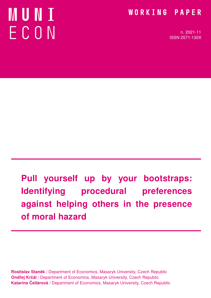# MUNT ECON

### WORKING PAPER

n. 2021-11 ISSN 2571-130X

# Pull yourself up by your bootstraps: Identifying procedural preferences against helping others in the presence of moral hazard

Rostislav Staněk / Department of Economics, Masaryk University, Czech Republic Ondřej Krčál / Department of Economics, Masaryk University, Czech Republic Katarína Čellárová / Department of Economics, Masaryk University, Czech Republic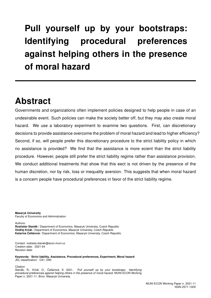# Pull yourself up by your bootstraps: Identifying procedural preferences against helping others in the presence of moral hazard

## Abstract

Governments and organizations often implement policies designed to help people in case of an undesirable event. Such policies can make the society better off, but they may also create moral hazard. We use a laboratory experiment to examine two questions. First, can discretionary decisions to provide assistance overcome the problem of moral hazard and lead to higher efficiency? Second, if so, will people prefer this discretionary procedure to the strict liability policy in which no assistance is provided? We find that the assistance is more ecient than the strict liability procedure. However, people still prefer the strict liability regime rather than assistance provision. We conduct additional treatments that show that this eect is not driven by the presence of the human discretion, nor by risk, loss or inequality aversion. This suggests that when moral hazard is a concern people have procedural preferences in favor of the strict liability regime.

Masaryk University Faculty of Economics and Administration

Authors:

Rostislav Staněk / Department of Economics, Masaryk University, Czech Republic Ondřej Krčál / Department of Economics, Masaryk University, Czech Republic Katarína Čellárová / Department of Economics, Masaryk University, Czech Republic

Contact: rostislav.stanek@econ.muni.cz Creation date: 2021-04 Revision date:

Keywords: Strict liability, Assistance, Procedural preferences, Experiment, Moral hazard JEL classification: C91, D90

Citation: Staněk, R., Krčál, O., Čellárová, K. 2021. *Pull yourself up by your bootstraps: Identifying* procedural preferences against helping others in the presence of moral hazard. MUNI ECON Working Paper n. 2021-11. Brno: Masaryk University.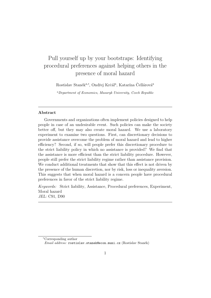### Pull yourself up by your bootstraps: Identifying procedural preferences against helping others in the presence of moral hazard

Rostislav Staněk<sup>a,∗</sup>, Ondřej Krčál<sup>a</sup>, Katarína Čellárová<sup>a</sup>

<sup>a</sup>Department of Economics, Masaryk University, Czech Republic

#### Abstract

Governments and organizations often implement policies designed to help people in case of an undesirable event. Such policies can make the society better off, but they may also create moral hazard. We use a laboratory experiment to examine two questions. First, can discretionary decisions to provide assistance overcome the problem of moral hazard and lead to higher efficiency? Second, if so, will people prefer this discretionary procedure to the strict liability policy in which no assistance is provided? We find that the assistance is more efficient than the strict liability procedure. However, people still prefer the strict liability regime rather than assistance provision. We conduct additional treatments that show that this effect is not driven by the presence of the human discretion, nor by risk, loss or inequality aversion. This suggests that when moral hazard is a concern people have procedural preferences in favor of the strict liability regime.

Keywords: Strict liability, Assistance, Procedural preferences, Experiment, Moral hazard JEL: C91, D90

<sup>∗</sup>Corresponding author

Email address: rostislav.stanek@econ.muni.cz (Rostislav Staněk)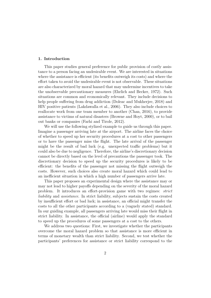#### 1. Introduction

This paper studies general preference for public provision of costly assistance to a person facing an undesirable event. We are interested in situations where the assistance is efficient (its benefits outweigh its costs) and where the effort taken to avoid the undesirable event is not observable. These situations are also characterized by moral hazard that may undermine incentives to take the unobservable precautionary measures (Ehrlich and Becker, 1972). Such situations are common and economically relevant. They include decisions to help people suffering from drug addiction (Doleac and Mukherjee, 2018) and HIV positive patients (Lakdawalla et al., 2006). They also include choices to reallocate work from one team member to another (Chan, 2016), to provide assistance to victims of natural disasters (Browne and Hoyt, 2000), or to bail out banks or companies (Farhi and Tirole, 2012).

We will use the following stylized example to guide us through this paper. Imagine a passenger arriving late at the airport. The airline faces the choice of whether to speed up her security procedures at a cost to other passengers or to have the passenger miss the flight. The late arrival of the passenger might be the result of bad luck (e.g. unexpected traffic problems) but it could also be due to negligence. Therefore, the airline's discretionary decision cannot be directly based on the level of precautions the passenger took. The discretionary decision to speed up the security procedures is likely to be efficient: the benefits of the passenger not missing the flight outweigh the costs. However, such choices also create moral hazard which could lead to an inefficient situation in which a high number of passengers arrive late.

This paper proposes an experimental design where the assistance may or may not lead to higher payoffs depending on the severity of the moral hazard problem. It introduces an effort-provision game with two regimes: strict liability and assistance. In strict liability, subjects sustain the costs created by insufficient effort or bad luck; in assistance, an official might transfer the costs to all the other participants according to a (vaguely stated) standard. In our guiding example, all passengers arriving late would miss their flight in strict liability. In assistance, the official (airline) would apply the standard to speed up the procedures of some passengers at a cost to the others.

We address two questions: First, we investigate whether the participants overcome the moral hazard problem so that assistance is more efficient in terms of monetary wealth than strict liability. Second, we test whether the participants' preferences for assistance or strict liability correspond to the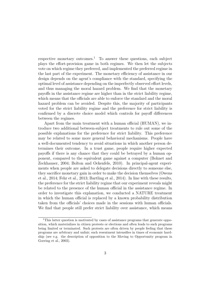respective monetary outcomes.<sup>1</sup> To answer these questions, each subject plays the effort-provision game in both regimes. We then let the subjects vote on which regime they preferred, and implemented the preferred regime in the last part of the experiment. The monetary efficiency of assistance in our design depends on the agent's compliance with the standard, specifying the optimal level of assistance depending on the imperfectly observed effort levels, and thus managing the moral hazard problem. We find that the monetary payoffs in the assistance regime are higher than in the strict liability regime, which means that the officials are able to enforce the standard and the moral hazard problem can be avoided. Despite this, the majority of participants voted for the strict liability regime and the preference for strict liability is confirmed by a discrete choice model which controls for payoff differences between the regimes.

Apart from the main treatment with a human official (HUMAN), we introduce two additional between-subject treatments to rule out some of the possible explanations for the preference for strict liability. This preference may be related to some more general behavioral mechanisms. People have a well-documented tendency to avoid situations in which another person determines their outcome. In a trust game, people require higher expected payoffs if there is any chance that they could be betrayed by a human opponent, compared to the equivalent game against a computer (Bohnet and Zeckhauser, 2004; Bolton and Ockenfels, 2010). In principal-agent experiments when people are asked to delegate decisions directly to someone else, they sacrifice monetary gain in order to make the decision themselves (Owens et al., 2014; Fehr et al., 2013; Bartling et al., 2014). In line with these results, the preference for the strict liability regime that our experiment reveals might be related to the presence of the human official in the assistance regime. In order to investigate this explanation, we conducted a NATURE treatment in which the human official is replaced by a known probability distribution taken from the officials' choices made in the sessions with human officials. We find that people still prefer strict liability over assistance, which means

<sup>&</sup>lt;sup>1</sup>This latter question is motivated by cases of assistance programs that generate opposition, which materializes in citizen protests or elections and often leads to such programs being limited or terminated. Such protests are often driven by people feeling that these programs are arbitrary and unfair; such resentment intensifies in times of economic hardship (see e.g. the description of opposition to the Moving to Opportunity program in Goering et al., 2003).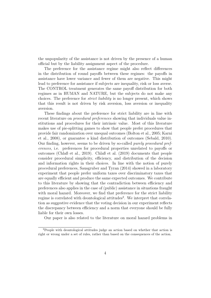the unpopularity of the assistance is not driven by the presence of a human official but by the liability assignment aspect of the procedure.

The preference for the assistance regime might also reflect differences in the distribution of round payoffs between these regimes: the payoffs in assistance have lower variance and fewer of them are negative. This might lead to preference for assistance if subjects are inequality, risk or loss averse. The CONTROL treatment generates the same payoff distribution for both regimes as in HUMAN and NATURE, but the subjects do not make any choices. The preference for strict liability is no longer present, which shows that this result is not driven by risk aversion, loss aversion or inequality aversion.

These findings about the preference for strict liability are in line with recent literature on *procedural preferences* showing that individuals value institutions and procedures for their intrinsic value. Most of this literature makes use of pie-splitting games to show that people prefer procedures that provide fair randomization over unequal outcomes (Bolton et al., 2005; Karni et al., 2008), or guarantee a kind distribution of outcomes (Sebald, 2010). Our finding, however, seems to be driven by so-called purely procedural preferences, i.e. preferences for procedural properties unrelated to payoffs or outcomes (Chlaß et al., 2019). Chlaß et al. (2019) documents that people consider procedural simplicity, efficiency, and distribution of the decision and information rights in their choices. In line with the notion of purely procedural preferences, Sausgruber and Tyran (2014) showed in a laboratory experiment that people prefer uniform taxes over discriminatory taxes that are equally efficient and produce the same expected outcomes. We contribute to this literature by showing that the contradiction between efficiency and preferences also applies in the case of (public) assistance in situations fraught with moral hazard. Moreover, we find that preference for the strict liability regime is correlated with deontological attitudes<sup>2</sup>. We interpret that correlation as suggestive evidence that the voting decision in our experiment reflects the discrepancy between efficiency and a norm that everyone should be fully liable for their own losses.

Our paper is also related to the literature on moral hazard problems in

<sup>2</sup>People with deontological attitudes judge an action based on whether that action is right or wrong under a set of rules, rather than based on the consequences of the action.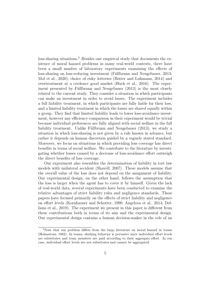loss-sharing situations.<sup>3</sup> Besides one empirical study that documents the existence of moral hazard problems in many real-world contexts, there have been a small number of laboratory experiments examining the effects of loss-sharing on loss-reducing investment (Füllbrunn and Neugebauer, 2013; Mol et al., 2020), choice of risky lotteries (Bixter and Luhmann, 2014) and overtreatment at a credence good market (Huck et al., 2016). The experiment presented by Füllbrunn and Neugebauer (2013) is the most closely related to the current study. They consider a situation in which participants can make an investment in order to avoid losses. The experiment includes a full liability treatment, in which participants are fully liable for their loss, and a limited liability treatment in which the losses are shared equally within a group. They find that limited liability leads to lower loss-avoidance investment, however any efficiency comparison in their experiment would be trivial because individual preferences are fully aligned with social welfare in the full liability treatment. Unlike Füllbrunn and Neugebauer (2013), we study a situation in which loss-sharing is not given by a rule known in advance, but rather it depends on human discretion guided by a vaguely stated standard. Moreover, we focus on situations in which providing loss coverage has direct benefits in terms of social welfare. We contribute to the literature by investigating whether losses caused by a decrease of loss-avoidance effort outweigh the direct benefits of loss coverage.

Our experiment also resembles the determination of liability in tort law models with unilateral accident (Shavell, 2007). These models assume that the overall value of the loss does not depend on the assignment of liability. Our experimental design, on the other hand, follows the assumption that the loss is larger when the agent has to cover it by himself. Given the lack of real-world data, several experiments have been conducted to examine the relative advantages of strict liability rules and negligence standards. These papers have focused primarily on the effects of strict liability and negligence on effort levels (Kornhauser and Schotter, 1990; Angelova et al., 2014; Deffains et al., 2019). The experiment we present in this paper is different from these contributions both in terms of its aim and the experimental design. Our experimental design contains a human decision-maker in the role of an

<sup>3</sup>Note that our problem differs from the large literature on moral hazard in teams (Holmstrom, 1982). In teams, shirking behavior is pervasive since individual effort levels are substitutes and team members are paid according to their aggregate effort. In our case, individual effort levels are not substitutes and cannot be aggregated.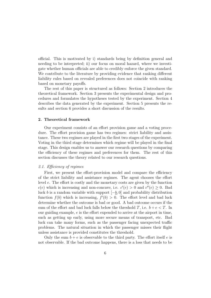official. This is motivated by i) standards being by definition general and needing to be interpreted; ii) our focus on moral hazard, where we investigate whether human officials are able to credibly enforce the given standard. We contribute to the literature by providing evidence that ranking different liability rules based on revealed preferences does not coincide with ranking based on monetary payoffs.

The rest of this paper is structured as follows: Section 2 introduces the theoretical framework. Section 3 presents the experimental design and procedures and formulates the hypotheses tested by the experiment. Section 4 describes the data generated by the experiment. Section 5 presents the results and section 6 provides a short discussion of the results.

#### 2. Theoretical framework

Our experiment consists of an effort provision game and a voting procedure. The effort provision game has two regimes: strict liability and assistance. These two regimes are played in the first two stages of the experiment. Voting in the third stage determines which regime will be played in the final stage. This design enables us to answer our research questions by comparing the efficiency of these regimes and preferences for them. The rest of this section discusses the theory related to our research questions.

#### 2.1. Efficiency of regimes

First, we present the effort-provision model and compare the efficiency of the strict liability and assistance regimes. The agent chooses the effort level e. The effort is costly and the monetary costs are given by the function  $c(e)$  which is increasing and non-concave, i.e.  $c'(e) > 0$  and  $c''(e) \geq 0$ . Bad luck b is a random variable with support  $[-b, 0]$  and probability distribution function  $f(b)$  which is increasing,  $f'(b) > 0$ . The effort level and bad luck determine whether the outcome is bad or good. A bad outcome occurs if the sum of the effort and bad luck falls below the threshold T, i.e.  $b + e < T$ . In our guiding example,  $e$  is the effort expended to arrive at the airport in time, such as getting up early, using more secure means of transport, etc. Bad luck can take many forms, such as the passenger facing unexpected traffic problems. The natural situation in which the passenger misses their flight unless assistance is provided constitutes the threshold.

Only the sum  $b + e$  is observable to the third party. The effort itself e is not observable. If the bad outcome happens, there is a loss that needs to be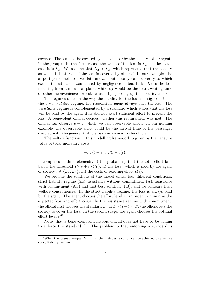covered. The loss can be covered by the agent or by the society (other agents in the group). In the former case the value of the loss is  $L_A$ , in the latter case it is  $L_S$ . We assume that  $L_A > L_S$ , which represents that the society as whole is better off if the loss is covered by others.<sup>4</sup> In our example, the airport personnel observes late arrival, but usually cannot verify to which extent the situation was caused by negligence or bad luck.  $L_A$  is the loss resulting from a missed airplane, while  $L<sub>S</sub>$  would be the extra waiting time or other inconveniences or risks caused by speeding up the security check.

The regimes differ in the way the liability for the loss is assigned. Under the strict liability regime, the responsible agent always pays the loss. The assistance regime is complemented by a standard which states that the loss will be paid by the agent if he did not exert sufficient effort to prevent the loss. A benevolent official decides whether this requirement was met. The official can observe  $e + b$ , which we call observable effort. In our guiding example, the observable effort could be the arrival time of the passenger coupled with the general traffic situation known to the official.

The welfare function in this modelling framework is given by the negative value of total monetary costs

$$
-Pr(b + e < T)l - c(e).
$$

It comprises of three elements: i) the probability that the total effort falls below the threshold  $Pr(b + e < T)$ ; ii) the loss l which is paid by the agent or society  $l \in \{L_A, L_S\}$ ; iii) the costs of exerting effort  $c(e)$ .

We provide the solutions of the model under four different conditions: strict liability regime (SL), assistance without commitment (A), assistance with commitment (AC) and first-best solution (FB); and we compare their welfare consequences. In the strict liability regime, the loss is always paid by the agent. The agent chooses the effort level  $e^R$  in order to minimize the expected loss and effort costs. In the assistance regime with commitment, the official first chooses the standard D. If  $D < e + b < T$ , the official lets the society to cover the loss. In the second stage, the agent chooses the optimal effort level  $e^{AC}$ .

Note, that a benevolent and myopic official does not have to be willing to enforce the standard D. The problem is that enforcing a standard is

<sup>&</sup>lt;sup>4</sup>When the losses are equal  $L_S = L_A$ , the first-best solution can be achieved by a simple strict liability regime.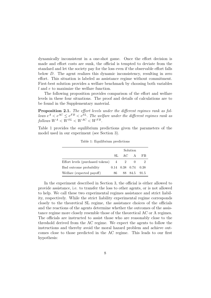dynamically inconsistent in a one-shot game. Once the effort decision is made and effort costs are sunk, the official is tempted to deviate from the standard and let the society pay for the loss even if the observable effort falls below D. The agent realizes this dynamic inconsistency, resulting in zero effort. This situation is labeled as assistance regime without commitment. First-best solution provides a welfare benchmark by choosing both variables l and e to maximize the welfare function.

The following proposition provides comparison of the effort and welfare levels in these four situations. The proof and details of calculations are to be found in the Supplementary material.

Proposition 2.1. The effort levels under the different regimes rank as fol- $\frac{1}{2}$  lows  $e^A < e^{AC} \leq e^{FB} < e^{SL}$ . The welfare under the different regimes rank as follows  $W^A < W^{SL} < W^{AC} < W^{FB}$ .

Table 1 provides the equilibrium predictions given the parameters of the model used in our experiment (see Section 3).

|                                    |     |                             | Solution     |    |
|------------------------------------|-----|-----------------------------|--------------|----|
|                                    |     | SL AC                       | A            | FB |
| Effort levels (purchased tokens) 4 |     |                             |              |    |
| Bad outcome probability            |     | $0.14$ $0.38$ $0.74$ $0.38$ |              |    |
| Welfare (expected payoff)          | 86. |                             | 88 84.5 91.5 |    |

Table 1: Equilibrium predictions

In the experiment described in Section 3, the official is either allowed to provide assistance, i.e. to transfer the loss to other agents, or is not allowed to help. We call these two experimental regimes assistance and strict liability, respectively. While the strict liability experimental regime corresponds closely to the theoretical SL regime, the assistance choices of the officials and the reactions of the agents determine whether the outcomes of the assistance regime more closely resemble those of the theoretical AC or A regimes. The officials are instructed to assist those who are reasonably close to the threshold derived from the AC regime. We expect the agents to follow the instructions and thereby avoid the moral hazard problem and achieve outcomes close to those predicted in the AC regime. This leads to our first hypothesis: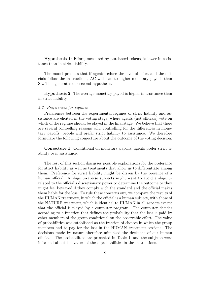Hypothesis 1: Effort, measured by purchased tokens, is lower in assistance than in strict liability.

The model predicts that if agents reduce the level of effort and the officials follow the instructions, AC will lead to higher monetary payoffs than SL. This generates our second hypothesis.

Hypothesis 2: The average monetary payoff is higher in assistance than in strict liability.

#### 2.2. Preferences for regimes

Preferences between the experimental regimes of strict liability and assistance are elicited in the voting stage, where agents (not officials) vote on which of the regimes should be played in the final stage. We believe that there are several compelling reasons why, controlling for the differences in monetary payoffs, people will prefer strict liability to assistance. We therefore formulate the following conjecture about the outcome of the voting decision:

Conjecture 1: Conditional on monetary payoffs, agents prefer strict liability over assistance.

The rest of this section discusses possible explanations for the preference for strict liability as well as treatments that allow us to differentiate among them. Preference for strict liability might be driven by the presence of a human official. Ambiguity-averse subjects might want to avoid ambiguity related to the official's discretionary power to determine the outcome or they might feel betrayed if they comply with the standard and the official makes them liable for the loss. To rule these concerns out, we compare the results of the HUMAN treatment, in which the official is a human subject, with those of the NATURE treatment, which is identical to HUMAN in all aspects except that the official is played by a computer program. The computer decides according to a function that defines the probability that the loss is paid by other members of the group conditional on the observable effort. The value of probabilities was established as the fraction of choices in which the group members had to pay for the loss in the HUMAN treatment sessions. The decisions made by nature therefore mimicked the decisions of our human officials. The probabilities are presented in Table 4, and the subjects were informed about the values of these probabilities in the instructions.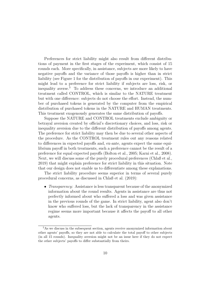Preferences for strict liability might also result from different distributions of payment in the first stages of the experiment, which consist of 15 rounds each. More specifically, in assistance, subjects are more likely to have negative payoffs and the variance of those payoffs is higher than in strict liability (see Figure 1 for the distribution of payoffs in our experiment). This might lead to a preference for strict liability if subjects are loss, risk, or inequality averse.<sup>5</sup> To address these concerns, we introduce an additional treatment called CONTROL, which is similar to the NATURE treatment but with one difference: subjects do not choose the effort. Instead, the number of purchased tokens is generated by the computer from the empirical distribution of purchased tokens in the NATURE and HUMAN treatments. This treatment exogenously generates the same distribution of payoffs.

Suppose the NATURE and CONTROL treatments exclude ambiguity or betrayal aversion created by official's discretionary choices, and loss, risk or inequality aversion due to the different distribution of payoffs among agents. The preference for strict liability may then be due to several other aspects of the procedure. As the CONTROL treatment rules out any reasons related to differences in expected payoffs and, ex-ante, agents expect the same equilibrium payoff in both treatments, such a preference cannot be the result of a preference for equal expected payoffs (Bolton et al., 2005; Karni et al., 2008). Next, we will discuss some of the purely procedural preferences (Chlaß et al., 2019) that might explain preference for strict liability in this situation. Note that our design does not enable us to differentiate among these explanations.

The strict liability procedure seems superior in terms of several purely procedural concerns, as discussed in Chlaß et al. (2019):

• *Transparency:* Assistance is less transparent because of the anonymized information about the round results. Agents in assistance are thus not perfectly informed about who suffered a loss and was given assistance in the previous rounds of the game. In strict liability, agent also don't know who suffered loss, but the lack of transparency in the assistance regime seems more important because it affects the payoff to all other agents.

<sup>&</sup>lt;sup>5</sup>As we discuss in the subsequent section, agents receive anonymized information about other agents' payoffs, so they are not able to calculate the total payoff to other subjects (in all 15 rounds). Inequality aversion might not be an issue here if they do not expect the other subjects' payoffs to differ substantially from theirs.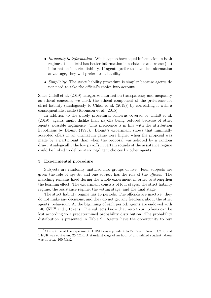- *Inequality in information:* While agents have equal information in both regimes, the official has better information in assistance and worse (no) information in strict liability. If agents prefer to have the information advantage, they will prefer strict liability.
- *Simplicity*: The strict liability procedure is simpler because agents do not need to take the official's choice into account.

Since Chlaß et al. (2019) categorize information transparency and inequality as ethical concerns, we check the ethical component of the preference for strict liability (analogously to Chlaß et al. (2019)) by correlating it with a consequentialist scale (Robinson et al., 2015).

In addition to the purely procedural concerns covered by Chlaß et al. (2019), agents might dislike their payoffs being reduced because of other agents' possible negligence. This preference is in line with the attribution hypothesis by Blount (1995). Blount's experiment shows that minimally accepted offers in an ultimatum game were higher when the proposal was made by a participant than when the proposal was selected by a random draw. Analogically, the low payoffs in certain rounds of the assistance regime could be linked to deliberately negligent choices by other agents.

#### 3. Experimental procedure

Subjects are randomly matched into groups of five. Four subjects are given the role of agents, and one subject has the role of the official. The matching remains fixed during the whole experiment in order to strengthen the learning effect. The experiment consists of four stages: the strict liability regime, the assistance regime, the voting stage, and the final stage.

The strict liability regime has 15 periods. The officials are inactive: they do not make any decisions, and they do not get any feedback about the other agents' behaviour. At the beginning of each period, agents are endowed with  $140 \text{ CZK}^6$  and 6 tokens. The subjects know that zero to six tokens can be lost according to a predetermined probability distribution. The probability distribution is presented in Table 2. Agents have the opportunity to buy

 ${}^{6}$ At the time of the experiment, 1 USD was equivalent to 22 Czech Crown (CZK) and 1 EUR was equivalent 25 CZK. A standard wage of an hour of unqualified student labour was approx. 100 CZK.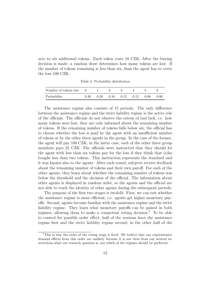zero to six additional tokens. Each token costs 10 CZK. After the buying decision is made, a random draw determines how many tokens are lost. If the number of tokens remaining is less than six, than the agent has to cover the loss 100 CZK.

| Number of tokens lost 0 |  |                                           | $\overline{a}$ |       |
|-------------------------|--|-------------------------------------------|----------------|-------|
| Probability             |  | $0.26$ $0.20$ $0.16$ $0.12$ $0.12$ $0.08$ |                | -0.06 |

Table 2: Probability distribution

The assistance regime also consists of 15 periods. The only difference between the assistance regime and the strict liability regime is the active role of the officials. The officials do not observe the extent of bad luck, i.e. how many tokens were lost, they are only informed about the remaining number of tokens. If the remaining number of tokens falls below six, the official has to choose whether the loss is paid by the agent with an insufficient number of tokens or by the other three agents in the group. In the case of the former, the agent will pay 100 CZK; in the latter case, each of the other three group members pays 25 CZK. The officials were instructed that they should let the agent with less than six tokens pay for the loss if they think that (s)he bought less than two tokens. This instruction represents the standard and it was known also to the agents. After each round, subjects receive feedback about the remaining number of tokens and their own payoff. For each of the other agents, they learn about whether the remaining number of tokens was below the threshold and the decision of the official. The information about other agents is displayed in random order, so the agents and the official are not able to track the identity of other agents during the subsequent periods.

The purpose of the first two stages is twofold. First, we can test whether the assistance regime is more efficient, i.e. agents get higher monetary payoffs. Second, agents become familiar with the assistance regime and the strict liability regime. They learn what monetary payoffs can be gained in both regimes, allowing them to make a competent voting decision.<sup>7</sup> To be able to control for possible order effect, half of the sessions have the assistance regime first and the strict liability regime second; in the other half of the

<sup>7</sup>This is why the order of the voting stage is fixed. We believe that any experimenter demand effects from this order are unlikely because it is not clear from our neutral instructions what our research question is, nor which of the regimes should be preferred.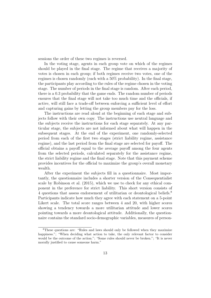sessions the order of these two regimes is reversed.

In the voting stage, agents in each group vote on which of the regimes should be played in the final stage. The regime that receives a majority of votes is chosen in each group; if both regimes receive two votes, one of the regimes is chosen randomly (each with a 50% probability). In the final stage, the participants play according to the rules of the regime chosen in the voting stage. The number of periods in the final stage is random. After each period, there is a 0.3 probability that the game ends. The random number of periods ensures that the final stage will not take too much time and the officials, if active, will still face a trade-off between enforcing a sufficient level of effort and capturing gains by letting the group members pay for the loss.

The instructions are read aloud at the beginning of each stage and subjects follow with their own copy. The instructions use neutral language and the subjects receive the instructions for each stage separately. At any particular stage, the subjects are not informed about what will happen in the subsequent stages. At the end of the experiment, one randomly-selected period from each of the first two stages (strict liability regime, assistance regime), and the last period from the final stage are selected for payoff. The official obtains a payoff equal to the average payoff among the four agents from the selected periods, calculated separately for the assistance regime, the strict liability regime and the final stage. Note that this payment scheme provides incentives for the official to maximize the group's overall monetary wealth.

After the experiment the subjects fill in a questionnaire. Most importantly, the questionnaire includes a shorter version of the Consequentialist scale by Robinson et al. (2015), which we use to check for any ethical component in the preference for strict liability. This short version consists of 4 questions that assess endorsement of utilitarian or deontological beliefs.<sup>8</sup> Participants indicate how much they agree with each statement on a 5-point Likert scale. The total score ranges between 4 and 20, with higher scores showing a tendency towards a more utilitarian attitude and lower scores pointing towards a more deontological attitude. Additionally, the questionnaire contains the standard socio-demographic variables, measures of person-

<sup>8</sup>These questions are: "Rules and laws should only be followed when they maximize happiness."; "When deciding what action to take, the only relevant factor to consider would be the outcome of the action."; "Some rules should never be broken."; "It is never morally justified to cause someone harm."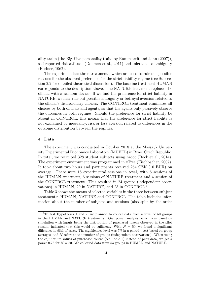ality traits (the Big-Five personality traits by Rammstedt and John (2007)), self-reported risk attitude (Dohmen et al., 2011) and tolerance to ambiguity (Budner, 1962).

The experiment has three treatments, which are used to rule out possible reasons for the observed preference for the strict liability regime (see Subsection 2.2 for detailed theoretical discussion). The baseline treatment HUMAN corresponds to the description above. The NATURE treatment replaces the official with a random device. If we find the preference for strict liability in NATURE, we may rule out possible ambiguity or betrayal aversion related to the official's discretionary choices. The CONTROL treatment eliminates all choices by both officials and agents, so that the agents only passively observe the outcomes in both regimes. Should the preference for strict liability be absent in CONTROL, this means that the preference for strict liability is not explained by inequality, risk or loss aversion related to differences in the outcome distribution between the regimes.

#### 4. Data

The experiment was conducted in October 2018 at the Masaryk University Experimental Economics Laboratory (MUEEL) in Brno, Czech Republic. In total, we recruited 328 student subjects using hroot (Bock et al., 2014). The experiment environment was programmed in zTree (Fischbacher, 2007). It took about two hours and participants received 254 CZK (10 EUR) on average. There were 16 experimental sessions in total, with 6 sessions of the HUMAN treatment, 6 sessions of NATURE treatment and 4 session of the CONTROL treatment. This resulted in 24 groups (independent observations) in HUMAN, 29 in NATURE, and 23 in CONTROL.<sup>9</sup>

Table 3 shows the means of selected variables in the three between-subject treatments: HUMAN, NATURE and CONTROL. The table includes information about the number of subjects and sessions (also split by the order

<sup>9</sup>To test Hypotheses 1 and 2, we planned to collect data from a total of 50 groups in the HUMAN and NATURE treatments. Our power analysis, which was based on simulation with inputs being the distribution of purchased tokens observed in the pilot session, indicated that this would be sufficient. With  $N = 50$ , we found a significant difference in 98% of cases. The significance level was 5% in a paired t-test based on group averages, and N refers to the number of groups (independent observations). When using the equilibrium values of purchased tokens (see Table 1) instead of pilot data, we get a power 0.78 for  $N = 50$ . We collected data from 53 groups in HUMAN and NATURE.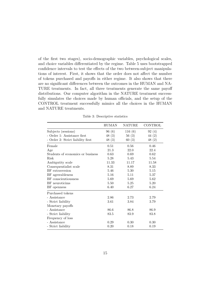of the first two stages), socio-demographic variables, psychological scales, and choice variables differentiated by the regime. Table 5 uses bootstrapped confidence intervals to test the effects of the two between-subject manipulations of interest. First, it shows that the order does not affect the number of tokens purchased and payoffs in either regime. It also shows that there are no significant differences between the outcomes in the HUMAN and NA-TURE treatments. In fact, all three treatments generate the same payoff distributions. Our computer algorithm in the NATURE treatment successfully simulates the choices made by human officials, and the setup of the CONTROL treatment successfully mimics all the choices in the HUMAN and NATURE treatments.

|                                   | <b>HUMAN</b> | NATURE | CONTROL |
|-----------------------------------|--------------|--------|---------|
| Subjects (sessions)               | 96(6)        | 116(6) | 92(4)   |
| - Order 1: Assistance first       | 48(3)        | 56(3)  | 44 (2)  |
| - Order 2: Strict liability first | 48(3)        | 60(3)  | 48(2)   |
| Female                            | 0.51         | 0.56   | 0.46    |
| Age                               | 21.3         | 22.0   | 22.4    |
| Students of economics or business | 0.63         | 0.69   | 0.62    |
| Risk                              | 5.28         | 5.43   | 5.54    |
| Ambigutity scale                  | 11.33        | 11.17  | 11.58   |
| Consequentialist scale            | 8.31         | 8.89   | 8.33    |
| BF extraversion                   | 5.46         | 5.30   | 5.15    |
| BF agreeableness                  | 5.16         | 5.11   | 5.37    |
| BF conscientiousness              | 5.69         | 5.69   | 5.62    |
| BF neuroticims                    | 5.50         | 5.25   | 5.20    |
| BF openness                       | 6.40         | 6.27   | 6.24    |
| Purchased tokens                  |              |        |         |
| - Assistance                      | 2.86         | 2.73   | 2.79    |
| - Strict liability                | 3.61         | 3.84   | 3.79    |
| Monetary payoffs                  |              |        |         |
| - Assistance                      | 86.6         | 86.8   | 86.9    |
| - Strict liability                | 83.5         | 83.9   | 83.8    |
| Frequency of loss                 |              |        |         |
| - Assistance                      | 0.29         | 0.30   | 0.30    |
| - Strict liability                | 0.20         | 0.18   | 0.19    |

Table 3: Descriptive statistics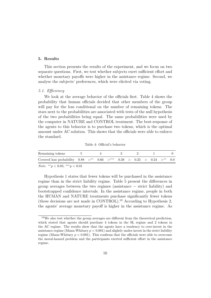#### 5. Results

This section presents the results of the experiment, and we focus on two separate questions. First, we test whether subjects exert sufficient effort and whether monetary payoffs were higher in the assistance regime. Second, we analyse the subjects' preferences, which were elicited via voting.

#### 5.1. Efficiency

We look at the average behavior of the officials first. Table 4 shows the probability that human officials decided that other members of the group will pay for the loss conditional on the number of remaining tokens. The stars next to the probabilities are associated with tests of the null hypothesis of the two probabilities being equal. The same probabilities were used by the computer in NATURE and CONTROL treatment. The best-response of the agents to this behavior is to purchase two tokens, which is the optimal amount under AC solution. This shows that the officials were able to enforce the standard.

Table 4: Official's behavior

| Covered loss probability $0.88 >$ ** $0.66 >$ *** $0.38 > 0.25 > 0.24 >$ ** $0.0$ | Remaining tokens |  |  |  |  |  |  |
|-----------------------------------------------------------------------------------|------------------|--|--|--|--|--|--|
|                                                                                   |                  |  |  |  |  |  |  |

Note: \*\*p < 0.05; \*\*\*p < 0.01

Hypothesis 1 states that fewer tokens will be purchased in the assistance regime than in the strict liability regime. Table 5 present the differences in group averages between the two regimes (assistance − strict liability) and bootstrapped confidence intervals. In the assistance regime, people in both the HUMAN and NATURE treatments purchase significantly fewer tokens (these decisions are not made in CONTROL).<sup>10</sup> According to Hypothesis 2, the agents' average monetary payoff is higher in the assistance regime. As

<sup>10</sup>We also test whether the group averages are different from the theoretical prediction, which stated that agents should purchase 4 tokens in the SL regime and 2 tokens in the AC regime. The results show that the agents have a tendency to over-invest in the assistance regime (Mann-Whitney  $p < 0.001$ ) and slightly under-invest in the strict liability regime (Mann-Whitney  $p < 0.001$ ). This confirms that the officials were able to overcome the moral-hazard problem and the participants exerted sufficient effort in the assistance regime.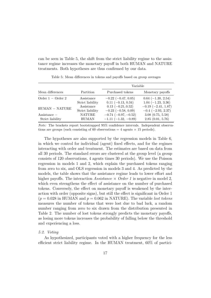can be seen in Table 5, the shift from the strict liability regime to the assistance regime increases the monetary payoff in both HUMAN and NATURE treatments. Both hypotheses are thus confirmed by our data.

|                               |                  | Variable                  |                          |
|-------------------------------|------------------|---------------------------|--------------------------|
| Mean differences              | Partition        | Purchased tokens          | Monetary payoffs         |
| Order $1 -$ Order 2           | Assistance       | $-0.22$ ( $-0.47, 0.05$ ) | $0.64$ (-1.30, 2.54)     |
|                               | Strict liability | $0.11$ (-0.13, 0.34)      | $1.04 (-1.23, 3.36)$     |
| $HUMAN - NATURE$              | Assistance       | $0.13 (-0.21, 0.52)$      | $-0.19$ $(-2.41, 1.87)$  |
|                               | Strict liability | $-0.23$ ( $-0.58$ , 0.09) | $-0.4$ ( $-2.93$ , 2.37) |
| $\operatorname{Assistance}$ – | <b>NATURE</b>    | $-0.74(-0.97,-0.52)$      | 3.08(0.75, 5.58)         |
| Strict liability              | <b>HUMAN</b>     | $-1.11$ $(-1.32, -0.89)$  | 2.85(0.01, 5.76)         |

Table 5: Mean differences in tokens and payoffs based on group averages

Note: The brackets report bootstrapped 95% confidence intervals. Independent observations are groups (each consisting of 60 observations  $=$  4 agents  $\times$  15 periods).

The hypotheses are also supported by the regression models in Table 6, in which we control for individual (agent) fixed effects, and for the regimes interacting with order and treatment. The estimates are based on data from all 30 periods. The standard errors are clustered at the group level (a group consists of 120 observations, 4 agents times 30 periods). We use the Poisson regression in models 1 and 2, which explain the purchased tokens ranging from zero to six, and OLS regression in models 3 and 4. As predicted by the models, the table shows that the assistance regime leads to lower effort and higher payoffs. The interaction  $Assistance \times Order 1$  is negative in model 2, which even strengthens the effect of assistance on the number of purchased tokens. Conversely, the effect on monetary payoff is weakened by the interaction with order (opposite signs), but still the effect is significant in Order 1  $(p = 0.028$  in HUMAN and  $p = 0.062$  in NATURE). The variable lost tokens measures the number of tokens that were lost due to bad luck, a random number ranging from zero to six drawn from the distribution presented in Table 2. The number of lost tokens strongly predicts the monetary payoffs, as losing more tokens increases the probability of falling below the threshold and experiencing a loss.

#### 5.2. Voting

As hypothesized, participants voted with a higher frequency for the less efficient strict liability regime. In the HUMAN treatment, 60% of partici-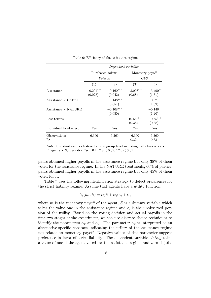|                                          | Dependent variable:    |                        |                       |                       |  |  |  |
|------------------------------------------|------------------------|------------------------|-----------------------|-----------------------|--|--|--|
|                                          |                        | Purchased tokens       |                       | Monetary payoff       |  |  |  |
|                                          | Poisson                |                        |                       | OLS                   |  |  |  |
|                                          | (1)                    | (2)                    | (3)                   | (4)                   |  |  |  |
| Assistance                               | $-0.291***$<br>(0.028) | $-0.160***$<br>(0.042) | $3.008***$<br>(0.68)  | $3.490**$<br>(1.31)   |  |  |  |
| Assistance $\times$ Order 1              |                        | $-0.148***$<br>(0.051) |                       | $-0.82$<br>(1.39)     |  |  |  |
| $\text{Assistance} \times \text{NATURE}$ |                        | $-0.108***$<br>(0.050) |                       | $-0.146$<br>(1.40)    |  |  |  |
| Lost tokens                              |                        |                        | $-10.65***$<br>(0.38) | $-10.65***$<br>(0.38) |  |  |  |
| Individual fixed effect                  | Yes                    | $_{\rm Yes}$           | Yes                   | Yes                   |  |  |  |
| Observations<br>$R^2$                    | 6,360                  | 6,360                  | 6,360<br>0.32         | 6,360<br>0.33         |  |  |  |

Table 6: Efficiency of the assistance regime

Note: Standard errors clustered at the group level including 120 observations  $(4 \text{ agents} \times 30 \text{ periods}).$   $\frac{*p}{<} 0.1; \frac{***}{p} < 0.05; \frac{***}{p} < 0.01.$ 

pants obtained higher payoffs in the assistance regime but only 38% of them voted for the assistance regime. In the NATURE treatments, 60% of participants obtained higher payoffs in the assistance regime but only 45% of them voted for it.

Table 7 uses the following identification strategy to detect preferences for the strict liability regime. Assume that agents have a utility function

$$
U_i(m_i, S) = \alpha_0 S + \alpha_1 m_i + \epsilon_i,
$$

where  $m$  is the monetary payoff of the agent,  $S$  is a dummy variable which takes the value one in the assistance regime and  $\epsilon_i$  is the unobserved portion of the utility. Based on the voting decision and actual payoffs in the first two stages of the experiment, we can use discrete choice techniques to identify the parameters  $\alpha_0$  and  $\alpha_1$ . The parameter  $\alpha_0$  is interpreted as an alternative-specific constant indicating the utility of the assistance regime not related to monetary payoff. Negative values of this parameter suggest preference in favor of strict liability. The dependent variable Voting takes a value of one if the agent voted for the assistance regime and zero if (s)he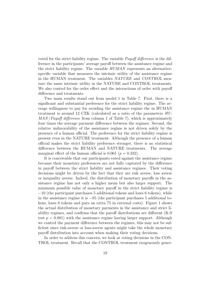voted for the strict liability regime. The variable Payoff difference is the difference in the participants' average payoff between the assistance regime and the strict liability regime. The variable HUMAN represents an alternativespecific variable that measures the intrinsic utility of the assistance regime in the HUMAN treatment. The variables NATURE and CONTROL measure the same intrinsic utility in the NATURE and CONTROL treatments. We also control for the order effect and the interactions of order with payoff difference and treatments.

Two main results stand out from model 1 in Table 7. First, there is a significant and substantial preference for the strict liability regime. The average willingness to pay for avoiding the assistance regime the in HUMAN treatment is around 12 CZK (calculated as a ratio of the parameters HU- $MAN/Pa$  difference from column 1 of Table 7), which is approximately four times the average payment difference between the regimes. Second, the relative unfavorability of the assistance regime is not driven solely by the presence of a human official. The preference for the strict liability regime is present even in the NATURE treatment. Although the presence of a human official makes the strict liability preference stronger, there is no statistical difference between the HUMAN and NATURE treatments. The average marginal effect of the human official is 0.061 ( $p = 0.332$ ).

It is conceivable that our participants voted against the assistance regime because their monetary preferences are not fully captured by the difference in payoff between the strict liability and assistance regimes. Their voting decisions might be driven by the fact that they are risk averse, loss averse or inequality averse. Indeed, the distribution of monetary payoffs in the assistance regime has not only a higher mean but also larger support. The minimum possible value of monetary payoff in the strict liability regime is −10 (the participant purchases 5 additional tokens and loses 6 tokens), while in the assistance regime it is −85 (the participant purchases 5 additional tokens, loses 6 tokens and pays an extra 75 in external costs). Figure 1 shows the actual distribution of monetary payments in the assistance and strict liability regimes, and confirms that the payoff distributions are different (K-S test  $p < 0.001$ ) with the assistance regime having larger support. Although we control the payment difference between the regimes, this may not be sufficient since risk-averse or loss-averse agents might take the whole monetary payoff distribution into account when making their voting decisions.

In order to address this concern, we look at voting decisions in the CON-TROL treatment. Recall that the CONTROL treatment exogenously gener-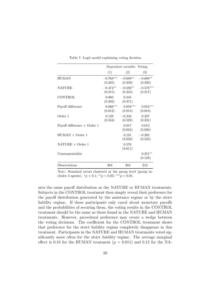|                                    |                        | <i>Dependent variable:</i> Voting |                        |
|------------------------------------|------------------------|-----------------------------------|------------------------|
|                                    | (1)                    | (2)                               | (3)                    |
| <b>HUMAN</b>                       | $-0.768***$<br>(0.265) | $-0.688**$<br>(0.339)             | $-0.680**$<br>(0.330)  |
| <b>NATURE</b>                      | $-0.474***$            | $-0.592**$<br>$(0.215)$ $(0.234)$ | $-0.578***$<br>(0.217) |
| CONTROL                            | 0.060<br>(0.292)       | 0.245<br>(0.371)                  |                        |
| Payoff difference                  | $0.066***$<br>(0.012)  | $0.058***$<br>(0.014)             | $0.054***$<br>(0.016)  |
| Order 1                            | 0.129<br>(0.244)       | $-0.216$<br>(0.528)               | 0.327<br>(0.331)       |
| Payoff difference $\times$ Order 1 |                        | 0.017<br>(0.024)                  | 0.013<br>(0.026)       |
| $HUMAN \times Order 1$             |                        | 0.191<br>(0.656)                  | $-0.262$<br>(0.535)    |
| NATURE $\times$ Order 1            |                        | 0.576<br>(0.611)                  |                        |
| Consequentialist                   |                        |                                   | $0.251**$<br>(0.128)   |
| Observations                       | 304                    | 304                               | 212                    |

Table 7: Logit model explaining voting decision

Note: Standard errors clustered at the group level (group includes 4 agents).  ${}^*p < 0.1$ ;  ${}^{**}p < 0.05$ ;  ${}^{***}p < 0.01$ .

ates the same payoff distribution as the NATURE or HUMAN treatments. Subjects in the CONTROL treatment then simply reveal their preference for the payoff distribution generated by the assistance regime or by the strict liability regime. If these participants only cared about monetary payoffs and the probabilities of securing them, the voting results in the CONTROL treatment should be the same as those found in the NATURE and HUMAN treatments. However, procedural preference may create a wedge between the voting decisions. The coefficient for the CONTROL treatment shows that preference for the strict liability regime completely disappears in this treatment. Participants in the NATURE and HUMAN treatments voted significantly more often for the strict liability regime. The average marginal effect is 0.18 for the HUMAN treatment  $(p = 0.011)$  and 0.12 for the NA-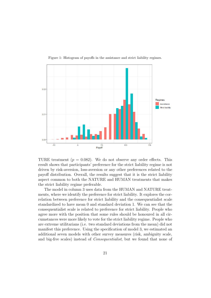

Figure 1: Histogram of payoffs in the assistance and strict liability regimes.

TURE treatment  $(p = 0.082)$ . We do not observe any order effects. This result shows that participants' preference for the strict liability regime is not driven by risk-aversion, loss-aversion or any other preferences related to the payoff distribution. Overall, the results suggest that it is the strict liability aspect common to both the NATURE and HUMAN treatments that makes the strict liability regime preferable.

The model in column 3 uses data from the HUMAN and NATURE treatments, where we identify the preference for strict liability. It explores the correlation between preference for strict liability and the consequentialist scale standardized to have mean 0 and standard deviation 1. We can see that the consequentialist scale is related to preference for strict liability. People who agree more with the position that some rules should be honoured in all circumstances were more likely to vote for the strict liability regime. People who are extreme utilitarians (i.e. two standard deviations from the mean) did not manifest this preference. Using the specification of model 3, we estimated an additional seven models with other survey measures (risk, ambiguity scale, and big-five scales) instead of Consequentialist, but we found that none of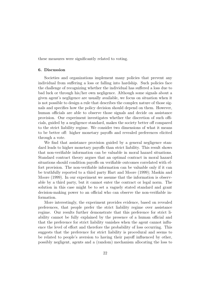these measures were significantly related to voting.

#### 6. Discussion

Societies and organizations implement many policies that prevent any individual from suffering a loss or falling into hardship. Such policies face the challenge of recognizing whether the individual has suffered a loss due to bad luck or through his/her own negligence. Although some signals about a given agent's negligence are usually available, we focus on situation when it is not possible to design a rule that describes the complex nature of those signals and specifies how the policy decision should depend on them. However, human officials are able to observe those signals and decide on assistance provision. Our experiment investigates whether the discretion of such officials, guided by a negligence standard, makes the society better off compared to the strict liability regime. We consider two dimensions of what it means to be better off: higher monetary payoffs and revealed preferences elicited through a vote.

We find that assistance provision guided by a general negligence standard leads to higher monetary payoffs than strict liability. This result shows that non-verifiable information can be valuable in moral hazard situations. Standard contract theory argues that an optimal contract in moral hazard situations should condition payoffs on verifiable outcomes correlated with effort provision. The non-verifiable information can be valuable only if it can be truthfully reported to a third party Hart and Moore (1999); Maskin and Moore (1999). In our experiment we assume that the information is observable by a third party, but it cannot enter the contract or legal norm. The solution in this case might be to set a vaguely stated standard and grant decision-making power to an official who can observe the non-verifiable information.

More interestingly, the experiment provides evidence, based on revealed preferences, that people prefer the strict liability regime over assistance regime. Our results further demonstrate that this preference for strict liability cannot be fully explained by the presence of a human official and that the preference for strict liability vanishes when the agent cannot influence the level of effort and therefore the probability of loss occurring. This suggests that the preference for strict liability is procedural and seems to be related to people's aversion to having their payoff influenced by other, possibly negligent, agents and a (random) mechanism allocating the loss to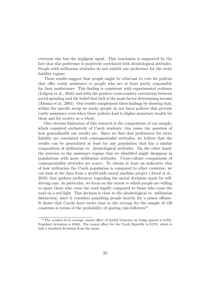everyone else but the negligent agent. This conclusion is supported by the fact that this preference is positively correlated with deontological attitudes. People with utilitarian attitudes do not exhibit any preference for the strict liability regime.

These results suggest that people might be reluctant to vote for policies that offer costly assistance to people who are at least partly responsible for their misfortunes. This finding is consistent with experimental evidence (Lefgren et al., 2016) and with the positive cross-country correlation between social spending and the belief that luck is the main factor determining income (Alesina et al., 2001). Our results complement these findings by showing that, within the specific setup we study, people do not favor policies that provide costly assistance even when those policies lead to higher monetary wealth for them and for society as a whole.

One obvious limitation of this research is the composition of our sample, which consisted exclusively of Czech students; this raises the question of how generalizable our results are. Since we find that preferences for strict liability are correlated with consequentialist attitudes, we believe that the results can be generalized at least for any population that has a similar composition of utilitarian vs. deontological attitudes. On the other hand, the aversion to the assistance regime that we identified might disappear in populations with more utilitarian attitudes. Cross-culture comparisons of consequentialist attitudes are scarce. To obtain at least an indicative idea of how utilitarian the Czech population is compared to other countries, we can look at the data from a world-wide moral machine project (Awad et al., 2018) that gathers preferences regarding the moral decisions made by selfdriving cars. In particular, we focus on the extent to which people are willing to spare those who cross the road legally compared to those who cross the road on a red light. This decision is close to the deontological vs. utilitarian distinction, since it considers punishing people heavily for a minor offense. It shows that Czechs have views close to the average for the sample of 130 countries in terms of the probability of sparing rule-followers<sup>11</sup>.

 $11$ The country-level average causal effect of lawful behavior on being spared is 0.352. Standard deviation is 0.044. The causal effect for the Czech Republic is 0.374, which is half a standard deviation from the mean.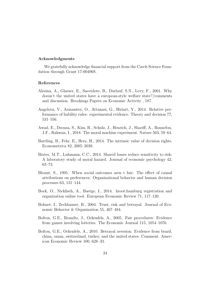#### Acknowledgments

We gratefully acknowledge financial support from the Czech Science Foundation through Grant 17-00496S.

#### References

- Alesina, A., Glaeser, E., Sacerdote, B., Durlauf, S.N., Levy, F., 2001. Why doesn't the united states have a european-style welfare state?/comments and discussion. Brookings Papers on Economic Activity , 187.
- Angelova, V., Armantier, O., Attanasi, G., Hiriart, Y., 2014. Relative performance of liability rules: experimental evidence. Theory and decision 77, 531–556.
- Awad, E., Dsouza, S., Kim, R., Schulz, J., Henrich, J., Shariff, A., Bonnefon, J.F., Rahwan, I., 2018. The moral machine experiment. Nature 563, 59–64.
- Bartling, B., Fehr, E., Herz, H., 2014. The intrinsic value of decision rights. Econometrica 82, 2005–2039.
- Bixter, M.T., Luhmann, C.C., 2014. Shared losses reduce sensitivity to risk: A laboratory study of moral hazard. Journal of economic psychology 42, 63–73.
- Blount, S., 1995. When social outcomes aren t fair: The effect of causal attributions on preferences. Organizational behavior and human decision processes 63, 131–144.
- Bock, O., Nicklisch, A., Baetge, I., 2014. hroot:hamburg registration and organization online tool. European Economic Review 71, 117–120.
- Bohnet, I., Zeckhauser, R., 2004. Trust, risk and betrayal. Journal of Economic Behavior & Organization 55, 467–484.
- Bolton, G.E., Brandts, J., Ockenfels, A., 2005. Fair procedures: Evidence from games involving lotteries. The Economic Journal 115, 1054–1076.
- Bolton, G.E., Ockenfels, A., 2010. Betrayal aversion: Evidence from brazil, china, oman, switzerland, turkey, and the united states: Comment. American Economic Review 100, 628–33.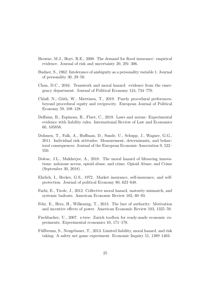- Browne, M.J., Hoyt, R.E., 2000. The demand for flood insurance: empirical evidence. Journal of risk and uncertainty 20, 291–306.
- Budner, S., 1962. Intolerance of ambiguity as a personality variable 1. Journal of personality 30, 29–50.
- Chan, D.C., 2016. Teamwork and moral hazard: evidence from the emergency department. Journal of Political Economy 124, 734–770.
- Chlaß, N., Güth, W., Miettinen, T., 2019. Purely procedural preferencesbeyond procedural equity and reciprocity. European Journal of Political Economy 59, 108–128.
- Deffains, B., Espinosa, R., Fluet, C., 2019. Laws and norms: Experimental evidence with liability rules. International Review of Law and Economics 60, 105858.
- Dohmen, T., Falk, A., Huffman, D., Sunde, U., Schupp, J., Wagner, G.G., 2011. Individual risk attitudes: Measurement, determinants, and behavioral consequences. Journal of the European Economic Association 9, 522– 550.
- Doleac, J.L., Mukherjee, A., 2018. The moral hazard of lifesaving innovations: naloxone access, opioid abuse, and crime. Opioid Abuse, and Crime (September 30, 2018) .
- Ehrlich, I., Becker, G.S., 1972. Market insurance, self-insurance, and selfprotection. Journal of political Economy 80, 623–648.
- Farhi, E., Tirole, J., 2012. Collective moral hazard, maturity mismatch, and systemic bailouts. American Economic Review 102, 60–93.
- Fehr, E., Herz, H., Wilkening, T., 2013. The lure of authority: Motivation and incentive effects of power. American Economic Review 103, 1325–59.
- Fischbacher, U., 2007. z-tree: Zurich toolbox for ready-made economic experiments. Experimental economics 10, 171–178.
- Füllbrunn, S., Neugebauer, T., 2013. Limited liability, moral hazard, and risk taking: A safety net game experiment. Economic Inquiry 51, 1389–1403.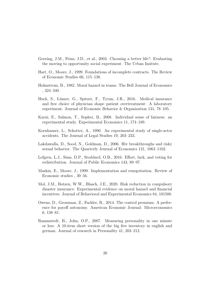- Goering, J.M., Feins, J.D., et al., 2003. Choosing a better life?: Evaluating the moving to opportunity social experiment. The Urban Insitute.
- Hart, O., Moore, J., 1999. Foundations of incomplete contracts. The Review of Economic Studies 66, 115–138.
- Holmstrom, B., 1982. Moral hazard in teams. The Bell Journal of Economics , 324–340.
- Huck, S., Lünser, G., Spitzer, F., Tyran, J.R., 2016. Medical insurance and free choice of physician shape patient overtreatment: A laboratory experiment. Journal of Economic Behavior & Organization 131, 78–105.
- Karni, E., Salmon, T., Sopher, B., 2008. Individual sense of fairness: an experimental study. Experimental Economics 11, 174–189.
- Kornhauser, L., Schotter, A., 1990. An experimental study of single-actor accidents. The Journal of Legal Studies 19, 203–233.
- Lakdawalla, D., Sood, N., Goldman, D., 2006. Hiv breakthroughs and risky sexual behavior. The Quarterly Journal of Economics 121, 1063–1102.
- Lefgren, L.J., Sims, D.P., Stoddard, O.B., 2016. Effort, luck, and voting for redistribution. Journal of Public Economics 143, 89–97.
- Maskin, E., Moore, J., 1999. Implementation and renegotiation. Review of Economic studies , 39–56.
- Mol, J.M., Botzen, W.W., Blasch, J.E., 2020. Risk reduction in compulsory disaster insurance: Experimental evidence on moral hazard and financial incentives. Journal of Behavioral and Experimental Economics 84, 101500.
- Owens, D., Grossman, Z., Fackler, R., 2014. The control premium: A preference for payoff autonomy. American Economic Journal: Microeconomics 6, 138–61.
- Rammstedt, B., John, O.P., 2007. Measuring personality in one minute or less: A 10-item short version of the big five inventory in english and german. Journal of research in Personality 41, 203–212.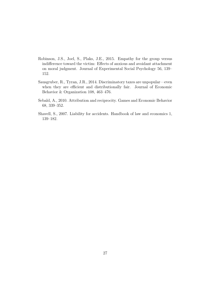- Robinson, J.S., Joel, S., Plaks, J.E., 2015. Empathy for the group versus indifference toward the victim: Effects of anxious and avoidant attachment on moral judgment. Journal of Experimental Social Psychology 56, 139– 152.
- Sausgruber, R., Tyran, J.R., 2014. Discriminatory taxes are unpopular—even when they are efficient and distributionally fair. Journal of Economic Behavior & Organization 108, 463–476.
- Sebald, A., 2010. Attribution and reciprocity. Games and Economic Behavior 68, 339–352.
- Shavell, S., 2007. Liability for accidents. Handbook of law and economics 1, 139–182.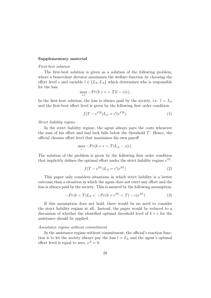#### Supplementary material

#### First-best solution

The first-best solution is given as a solution of the following problem, where a benevolent dictator maximizes the welfare function by choosing the effort level e and variable  $l \in \{L_S, L_A\}$  which determines who is responsible for the loss

$$
\max_{e,l} -Pr(b+e
$$

In the first-best solution, the loss is always paid by the society, i.e.  $l = L_S$ and the first-best effort level is given by the following first order condition

$$
f(T - e^{FB})L_S = c'(e^{FB}).
$$
\n<sup>(1)</sup>

Strict liability regime

In the strict liability regime, the agent always pays the costs whenever the sum of his effort and bad luck falls below the threshold T. Hence, the official chooses effort level that maximizes his own payoff

$$
\max_{e} -Pr(b + e < T)L_A - c(e).
$$

The solution of the problem is given by the following first order condition that implicitly defines the optimal effort under the strict liability regime  $e^{SL}$ .

$$
f(T - e^{SL})L_A = c'(e^{SL})
$$
\n(2)

This paper only considers situations in which strict liability is a better outcome than a situation in which the agent does not exert any effort and the loss is always paid by the society. This is assured by the following assumption:

$$
-Pr(b < T)L_S < -Pr(b + e^{SL} < T) - c(e^{SL})
$$
\n(3)

If this assumption does not hold, there would be no need to consider the strict liability regime at all. Instead, the paper would be reduced to a discussion of whether the identified optimal threshold level of  $b + e$  for the assistance should be applied.

#### Assistance regime without commitment

In the assistance regime without commitment, the official's reaction function is to let the society always pay the loss  $l = L<sub>S</sub>$  and the agent's optimal effort level is equal to zero,  $e^A = 0$ .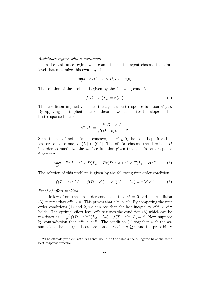#### Assistance regime with commitment

In the assistance regime with commitment, the agent chooses the effort level that maximizes his own payoff

$$
\max_{e} - Pr(b + e < D)L_A - c(e).
$$

The solution of the problem is given by the following condition

$$
f(D - e^*)L_A = c'(e^*).
$$
 (4)

This condition implicitly defines the agent's best-response function  $e^*(D)$ . By applying the implicit function theorem we can derive the slope of this best-response function

$$
e^{*\prime}(D) = \frac{f'(D - e)L_A}{f'(D - e)L_A + c''}.
$$

Since the cost function is non-concave, i.e.  $c'' \geq 0$ , the slope is positive but less or equal to one,  $e^{\ast}(D) \in (0,1]$ . The official chooses the threshold D in order to maximize the welfare function given the agent's best-response function $^{12}$ .

$$
\max_{D} -Pr(b + e^* < D)L_A - Pr(D < b + e^* < T)L_S - c(e^*)\tag{5}
$$

The solution of this problem is given by the following first order condition

$$
f(T - e) e^{*'} L_S - f(D - e)(1 - e^{*'})(L_A - L_S) = c'(e) e^{*'}.
$$
 (6)

#### Proof of effort ranking

It follows from the first-order conditions that  $e^S = 0$  and the condition (3) ensures that  $e^{AC} > 0$ . This proves that  $e^{AC} > e^A$ . By comparing the first order conditions (1) and 2, we can see that the last inequality  $e^{FB} < e^{SL}$ holds. The optimal effort level  $e^{AC}$  satisfies the condition (6) which can be rewritten as  $-\frac{1-e'}{e'}$  $\frac{-e'}{e'} f(D - e^{AC})(L_A - L_S) + f(T - e^{AC})L_s = c'$ . Now, suppose by contradiction that  $e^{AC} > e^{FB}$ . The condition (1) together with the assumptions that marginal cost are non-decreasing  $c' \geq 0$  and the probability

 $12$ The officials problem with N agents would be the same since all agents have the same best-response function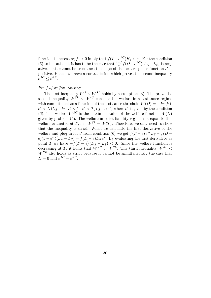function is increasing  $f' > 0$  imply that  $f(T - e^{AC})H_s < c'$ . For the condition (6) to be satisfied, it has to be the case that  $\frac{1-e'}{e'}$  $\frac{-e'}{e'}f(D-e^{AC})(L_A-L_S)$  is negative. This cannot be true since the slope of the best-response function  $e'$  is positive. Hence, we have a contradiction which proves the second inequality  $e^{AC} \leq e^{FB}$ .

#### Proof of welfare ranking

The first inequality  $W^A \n\langle W^{SL} \rangle$  holds by assumption (3). The prove the second inequality  $W^{SL} < W^{AC}$  consider the welfare in a assistance regime with commitment as a function of the assistance threshold  $W(D) = -Pr(b +$  $e^* < D/L_A-Pr(D < b+e^* < T)L_S-c(e^*)$  where  $e^*$  is given by the condition (6). The welfare  $W^{AC}$  is the maximum value of the welfare function  $W(D)$ given by problem (5). The welfare in strict liability regime is a equal to this welfare evaluated at T, i.e.  $W^{SL} = W(T)$ . Therefore, we only need to show that the inequality is strict. When we calculate the first derivative of the welfare and plug-in for c' from condition (6) we get  $f(T - e) e^{*\prime} L_S - f(D - e)$  $e(1-e^{*\prime})(L_A-L_S) = f(D-e)L_A e^{*\prime}$ . By evaluating the first derivative as point T we have  $-f(T - e)(L_A - L_S) < 0$ . Since the welfare function is decreasing at T, it holds that  $W^{AC} > W^{SL}$ . The third inequality  $W^{AC}$  $W<sup>FB</sup>$  also holds as strict because it cannot be simultaneously the case that  $D = 0$  and  $e^{AC} = e^{FB}$ .